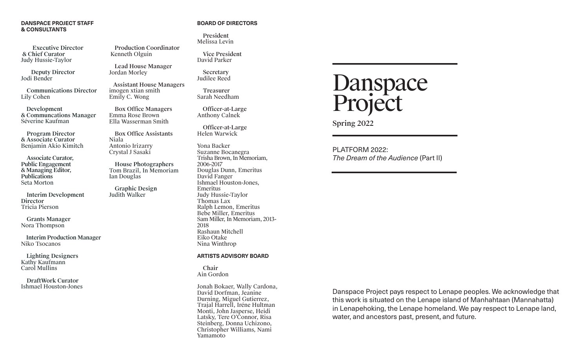### **DANSPACE PROJECT STAFF & CONSULTANTS**

 Executive Director & Chief Curator Judy Hussie-Taylor

 Deputy Director Jodi Bender

 Communications Director Lily Cohen

 Development & Communcations Manager Séverine Kaufman

 Program Director & Associate Curator Benjamin Akio Kimitch

 Associate Curator, Public Engagement & Managing Editor, Publications Seta Morton

 Interim Development **Director** Tricia Pierson

 Grants Manager Nora Thompson

 Interim Production Manager Niko Tsocanos

 Lighting Designers Kathy Kaufmann Carol Mullins

 DraftWork Curator Ishmael Houston-Jones

### **BOARD OF DIRECTORS**

 President Melissa Levin

Production Coordinator

Assistant House Managers

Lead House Manager

 Box Office Managers Emma Rose Brown Ella Wasserman Smith

Box Office Assistants

 House Photographers Tom Brazil, In Memoriam

Kenneth Olguin

Jordan Morley

Niala

imogen xtian smith Emily C. Wong

Antonio Irizarry Crystal J Sasaki

Ian Douglas

 Graphic Design Judith Walker

 Vice President David Parker

 Secretary Judilee Reed

 Treasurer Sarah Needham

 Officer-at-Large Anthony Calnek

 Officer-at-Large Helen Warwick

Yona Backer Suzanne Bocanegra Trisha Brown, In Memoriam, 2006-2017 Douglas Dunn, Emeritus David Fanger Ishmael Houston-Jones, Emeritus Judy Hussie-Taylor Thomas Lax Ralph Lemon, Emeritus Bebe Miller, Emeritus Sam Miller, In Memoriam, 2013- 2018 Rashaun Mitchell Eiko Otake Nina Winthrop

### **ARTISTS ADVISORY BOARD**

 Chair Ain Gordon

Jonah Bokaer, Wally Cardona, David Dorfman, Jeanine Durning, Miguel Gutierrez, Trajal Harrell, Iréne Hultman Monti, John Jasperse, Heidi Latsky, Tere O'Connor, Risa Steinberg, Donna Uchizono, Christopher Williams, Nami Yamamoto



Spring 2022

PLATFORM 2022: *The Dream of the Audience* (Part II)

Danspace Project pays respect to Lenape peoples. We acknowledge that this work is situated on the Lenape island of Manhahtaan (Mannahatta) in Lenapehoking, the Lenape homeland. We pay respect to Lenape land, water, and ancestors past, present, and future.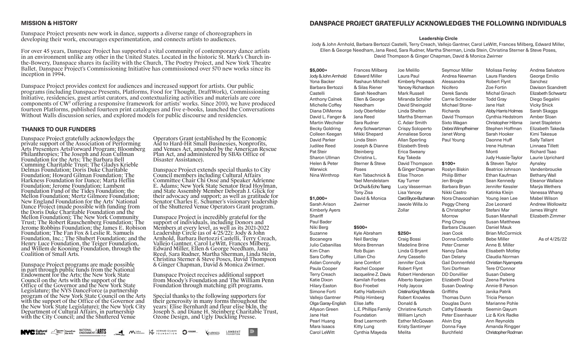### **MISSION & HISTORY**

Danspace Project presents new work in dance, supports a diverse range of choreographers in developing their work, encourages experimentation, and connects artists to audiences.

For over 45 years, Danspace Project has supported a vital community of contemporary dance artists in an environment unlike any other in the United States. Located in the historic St. Mark's Church inthe-Bowery, Danspace shares its facility with the Church, The Poetry Project, and New York Theatre Ballet. Danspace Project's Commissioning Initiative has commissioned over 570 new works since its inception in 1994.

Danspace Project provides context for audiences and increased support for artists. Our public programs (including Danspace Presents, Platforms, Food for Thought, DraftWork), Commissioning Initiative, residencies, guest artist curators, and contextualizing activities and materials are core components of CW² offering a responsive framework for artists' works. Since 2010, we have produced fourteen Platforms, published fourteen print catalogues and five e-books, launched the Conversations Without Walls discussion series, and explored models for public discourse and residencies.

### **THANKS TO OUR FUNDERS**

Danspace Project gratefully acknowledges the private support of the Association of Performing Arts Presenters ArtsForward Program; Bloomberg Philanthropies; The Joseph and Joan Cullman Foundation for the Arts; The Barbara Bell Cumming Charitable Trust; The Gladys Krieble Delmas Foundation; Doris Duke Charitable Foundation; Howard Gilman Foundation; The Harkness Foundation for Dance; Marta Heflin Foundation; Jerome Foundation; Lambent Foundation Fund of the Tides Foundation; the Mellon Foundation; Mertz Gilmore Foundation; New England Foundation for the Arts' National Dance Project (made possible with funding from the Doris Duke Charitable Foundation and the Mellon Foundation); The New York Community Trust; The Robert Rauschenberg Foundation; The Jerome Robbins Foundation; the James E. Robison Foundation: The Fan Fox & Leslie R. Samuels Foundation, Inc.; The Shubert Foundation; and the Henry Luce Foundation, the Teiger Foundation, and Willem de Kooning Foundation, through the Coalition of Small Arts.

Danspace Project programs are made possible in part through public funds from the National Endowment for the Arts; the New York State Council on the Arts with the support of the Office of the Governor and the New York State Legislature; the NYS DanceForce (a partnership program of the New York State Council on the Arts with the support of the Office of the Governor and the New York State Legislature); the New York City Department of Cultural Affairs, in partnership with the City Council; and the Shuttered Venue

Operators Grant (established by the Economic Aid to Hard-Hit Small Businesses, Nonprofits, and Venues Act, amended by the American Rescue Plan Act, and administered by SBA's Office of Disaster Assistance).

Danspace Project extends special thanks to City Council members including Cultural Affairs Committee Chair Chi Ossé and Speaker Adrienne E. Adams; New York State Senator Brad Hoylman. and State Assembly Member Deborah J. Glick for their advocacy and support; as well as gratitude for Senator Charles E. Schumer's visionary leadership of the Shuttered Venue Operators Grant program.

Danspace Project is incredibly grateful for the support of individuals, including Donors and Members at every level, as well as its 2021-2022 Leadership Circle (as of 4/25/22): Jody & John Arnhold, Barbara Bertozzi Castelli, Terry Creach, Vallejo Gantner, Carol LeWitt, Frances Milberg, Edward Miller, Ellen & George Needham, Jana Reed, Sara Rudner, Martha Sherman, Linda Stein, Christina Sterner & Steve Poses, David Thompson & Ginger Chapman, David & Monica Zwirner.

Danspace Project receives additional support from Moody's Foundation and The William Penn Foundation through matching gift programs.

Special thanks to the following supporters for their generosity in many forms throughout the years: Elise Bernhardt and fleur elise bkln, the Joseph S. and Diane H. Steinberg Charitable Trust, Ozone Design, and Ugly Duckling Presse.

|  |  |  |  |  | <b>NVC Cultural</b> Amyosk Council on NATIONAL SARTS CONSULTING TO UNDER THE COUNDATION SOLUTION CONTINUES LAMBENT |  |  |  | $\mathbb{D}$ |
|--|--|--|--|--|--------------------------------------------------------------------------------------------------------------------|--|--|--|--------------|
|--|--|--|--|--|--------------------------------------------------------------------------------------------------------------------|--|--|--|--------------|

### **DANSPACE PROJECT GRATEFULLY ACKNOWLEDGES THE FOLLOWING INDIVIDUALS**

#### **Leadership Circle**

Jody & John Arnhold, Barbara Bertozzi Castelli, Terry Creach, Vallejo Gantner, Carol LeWitt, Frances Milberg, Edward Miller, Ellen & George Needham, Jana Reed, Sara Rudner, Martha Sherman, Linda Stein, Christina Sterner & Steve Poses, David Thompson & Ginger Chapman, David & Monica Zwirner

Joe Melillo

**\$5,000+** Jody & John Arnhold Yona Backer Barbara Bertozzi Castelli Anthony Calnek Michelle Coffey Diana DiMenna David L. Fanger & Martin Wechsler Becky Goldring Colleen Keegan David Parker Judilee Reed Pat Steir Sharon Ullman Helen & Peter **Warwick** Nina Winthrop **\$1,000+** Sarah Arison Kimberly Ayers **Shariff** Paul Bader Niki Berg Suzanne Bocanegra Julio Cabanillas Kim Chan Sara Coffey Aidan Connolly Paula Cooper Terry Creach Katie Dixon Hilary Easton Simone Forti Vallejo Gantner Olga Garay-English Allyson Green Jane Hait Pearl Huang Mara Isaacs Carol LeWitt Frances Milberg Edward Miller Rashaun Mitchell & Silas Riener Sarah Needham Ellen & George Needham Jody Oberfelder Jana Reed Sara Rudner Amy Schwartzman Mikki Shepard Linda Stein Joseph & Dianne Steinberg Christina L. Sterner & Steve Poses Ken Tabachnick & Yael Mendelstam Dr. Chui & Echo Tsang Tony Zisa David & Monica Zwirner **\$500+** Kyle Abraham Neil Barclay Moira Brennan Rob Bujan Lillian Cho Jane Comfort Rachel Cooper Jacqueline Z. Davis Kamilah Forbes Boo Froebel Kathy Halbreich Philip Himberg Elise Jaffe L.E. Phillips Family Foundation Brad Learmonth Kitty Lung Cynthia Mayeda

Laura Paul Kimberly Propeack Yancey Richardson Mark Russell Miranda Schiller David Sheingold Linda Shelton Martha Sherman C. Adair Smith Crispy Soloperto Annaliese Soros Allan Sperling Elizabeth Streb Erica Sweany Kay Takeda David Thompson & Ginger Chapman Elise Thoron Kay Turner Lucy Vasserman Lisa Yancey Carol Bryce-Buchanan Jawole Willa Jo Zollar **\$250+** Craig Bossi Madeline Brine Linda G Bryant Amy Cassello Jennifer Cook Robert Flynt Robert Henderson Alberto Ibargüen Holly Jaycox Cristina King Miranda Robert Knowles Donald & Christine Kursch William Lynch Esther McGowan Kristy Santimyer Alessandra Nicifero Derek Sands Michael Stone-Richards Sixto Wagan Janet Wong Paul Young **\$100+** Roslyn Biskin Philip Bither Jen Brogle Barbara Bryan Nikki Castro Peggy Cheng & Christopher Morrow Ping Chong Jean Cook Peter Cramer Nancy Dalva Dan Delany Toni Dorfman DD Dorvillier **Griffiths** Thomas Dunn Douglas Dunn Cathy Edwards Alvin Eng Donna Faye

Melita

Seymour Miller Andrea Newman Carrie Schneider David Thomson Debra Wimpfheimer Nora Chavooshian Barbara Clausen Donna Costello Gail Donnenfeld Elizabeth Doud Susan Dowling-Peter Eisenhauer Burchfield Molissa Fenley Laura Flanders Robert Flynt Zoe Fortin Michal Ginach Todd Gray Jane Hait Abby Harris Holmes Cynthia Hedstrom Christopher Hibma Stephen Hoffman Sarah Hooker Daonne Huff Irene Hultman Monti Judy Hussie-Taylor & Steven Taylor Beatrice Johnson Ethan Kaufman Sean Kennedy Jennifer Kessler Katinka Kleijn Young Jean Lee Zoe Leonard Stefani Mar Susan Marshall Susan Matthews Daniel Mauk Brian McCormick Bebe Miller Anne B. Miller Elisabeth Motley Claudia Norman Christian Nyampeta Tere O'Connor Susan Osberg Zeena Parkins Annie-B Parson Janika Patrik Tricia Pierson Marianne Pohle Seemin Qayum Liz & Kirk Radke Ann Reynolds Amanda Ringger Christopher Rodman

Andrea Salvatore George Emilio Sanchez Davison Scandrett Elizabeth Schwartz Diego Segalini Vicky Shick Sarah Skaggs Amber Sloan Janet Stapleton Elizabeth Takeda Kimi Takesue Sally Tallant Linnaea Tillett Richard Tsao Laurie Uprichard Aynsley Vandenbroucke Bethany Wall Eleanor Wallace Marýa Wethers Vanessa Whang Mabel Wilson Andrew Wollowitz James Wright Elizabeth Zimmer As of 4/25/22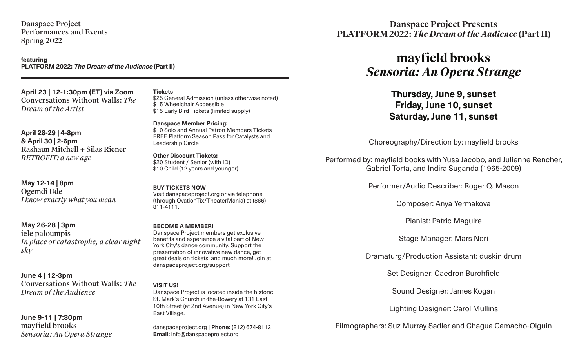Danspace Project Performances and Events Spring 2022

**featuring PLATFORM 2022: The Dream of the Audience (Part II)**

**April 23 | 12-1:30pm (ET) via Zoom** Conversations Without Walls: *The Dream of the Artist*

**April 28-29 | 4-8pm & April 30 | 2-6pm** Rashaun Mitchell + Silas Riener *RETROFIT: a new age*

**May 12-14 | 8pm** Ogemdi Ude *I know exactly what you mean*

**May 26-28 | 3pm** iele paloumpis *In place of catastrophe, a clear night sky*

**June 4 | 12-3pm** Conversations Without Walls: *The Dream of the Audience*

## **June 9-11 | 7:30pm** mayfield brooks *Sensoria: An Opera Strange*

**Tickets** \$25 General Admission (unless otherwise noted)

\$15 Wheelchair Accessible \$15 Early Bird Tickets (limited supply)

**Danspace Member Pricing:** \$10 Solo and Annual Patron Members Tickets FREE Platform Season Pass for Catalysts and Leadership Circle

**Other Discount Tickets:** \$20 Student / Senior (with ID) \$10 Child (12 years and younger)

**BUY TICKETS NOW** Visit danspaceproject.org or via telephone (through OvationTix/TheaterMania) at (866)- 811-4111.

**BECOME A MEMBER!** Danspace Project members get exclusive benefits and experience a vital part of New York City's dance community. Support the presentation of innovative new dance, get great deals on tickets, and much more! Join at danspaceproject.org/support

### **VISIT US!**

Danspace Project is located inside the historic St. Mark's Church in-the-Bowery at 131 East 10th Street (at 2nd Avenue) in New York City's East Village.

danspaceproject.org | **Phone:** (212) 674-8112 **Email:** info@danspaceproject.org

# **Danspace Project Presents PLATFORM 2022:** *The Dream of the Audience* **(Part II)**

# **mayfield brooks** *Sensoria: An Opera Strange*

**Thursday, June 9, sunset Friday, June 10, sunset Saturday, June 11, sunset**

Choreography/Direction by: mayfield brooks

Performed by: mayfield books with Yusa Jacobo, and Julienne Rencher, Gabriel Torta, and Indira Suganda (1965-2009)

Performer/Audio Describer: Roger Q. Mason

Composer: Anya Yermakova

Pianist: Patric Maguire

Stage Manager: Mars Neri

Dramaturg/Production Assistant: duskin drum

Set Designer: Caedron Burchfield

Sound Designer: James Kogan

Lighting Designer: Carol Mullins

Filmographers: Suz Murray Sadler and Chagua Camacho-Olguin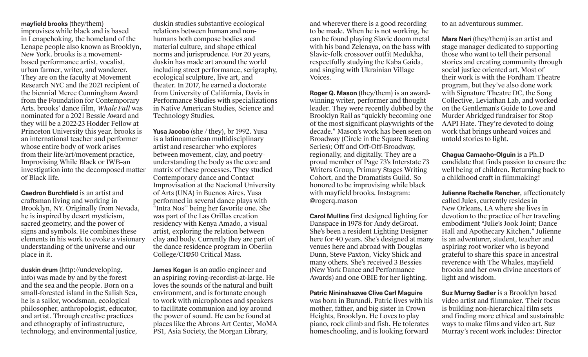**mayfield brooks** (they/them) improvises while black and is based in Lenapehoking, the homeland of the Lenape people also known as Brooklyn, New York. brooks is a movementbased performance artist, vocalist, urban farmer, writer, and wanderer. They are on the faculty at Movement Research NYC and the 2021 recipient of the biennial Merce Cunningham Award from the Foundation for Contemporary Arts. brooks' dance film, *Whale Fall* was nominated for a 2021 Bessie Award and they will be a 2022-23 Hodder Fellow at Princeton University this year. brooks is an international teacher and performer whose entire body of work arises from their life/art/movement practice, Improvising While Black or IWB–an investigation into the decomposed matter of Black life.

**Caedron Burchfield** is an artist and craftsman living and working in Brooklyn, NY. Originally from Nevada, he is inspired by desert mysticism, sacred geometry, and the power of signs and symbols. He combines these elements in his work to evoke a visionary understanding of the universe and our place in it.

**duskin drum** (http://undeveloping. info) was made by and by the forest and the sea and the people. Born on a small-forested island in the Salish Sea, he is a sailor, woodsman, ecological philosopher, anthropologist, educator, and artist. Through creative practices and ethnography of infrastructure, technology, and environmental justice,

duskin studies substantive ecological relations between human and nonhumans both compose bodies and material culture, and shape ethical norms and jurisprudence. For 20 years, duskin has made art around the world including street performance, serigraphy, ecological sculpture, live art, and theater. In 2017, he earned a doctorate from University of California, Davis in Performance Studies with specializations in Native American Studies, Science and Technology Studies.

**Yusa Jacobo** (she / they), br 1992. Yusa is a latinoamerican multidisciplinary artist and researcher who explores between movement, clay, and poetry– understanding the body as the core and matrix of these processes. They studied Contemporary dance and Contact Improvisation at the Nacional University of Arts (UNA) in Buenos Aires. Yusa performed in several dance plays with "Intra Nos'' being her favorite one. She was part of the Las Orillas creation residency with Kenya Amado, a visual artist, exploring the relation between clay and body. Currently they are part of the dance residence program in Oberlin College/CI@50 Critical Mass.

**James Kogan** is an audio engineer and an aspiring roving-recordist-at-large. He loves the sounds of the natural and built environment, and is fortunate enough to work with microphones and speakers to facilitate communion and joy around the power of sound. He can be found at places like the Abrons Art Center, MoMA PS1, Asia Society, the Morgan Library,

and wherever there is a good recording to be made. When he is not working, he can be found playing Slavic doom metal with his band Zelenaya, on the bass with Slavic-folk crossover outfit Medukha, respectfully studying the Kaba Gaida, and singing with Ukrainian Village Voices.

**Roger Q. Mason** (they/them) is an awardwinning writer, performer and thought leader. They were recently dubbed by the Brooklyn Rail as "quickly becoming one of the most significant playwrights of the decade." Mason's work has been seen on Broadway (Circle in the Square Reading Series); Off and Off-Off-Broadway, regionally, and digitally. They are a proud member of Page 73's Interstate 73 Writers Group, Primary Stages Writing Cohort, and the Dramatists Guild. So honored to be improvising while black with mayfield brooks. Instagram: @rogerq.mason

**Carol Mullins** first designed lighting for Danspace in 1978 for Andy deGroat. She's been a resident Lighting Designer here for 40 years. She's designed at many venues here and abroad with Douglas Dunn, Steve Paxton, Vicky Shick and many others. She's received 3 Bessies (New York Dance and Performance Awards) and one OBIE for her lighting.

**Patric Nininahazwe Clive Carl Maguire**  was born in Burundi. Patric lives with his mother, father, and big sister in Crown Heights, Brooklyn. He Loves to play piano, rock climb and fish. He tolerates homeschooling, and is looking forward

to an adventurous summer.

**Mars Neri** (they/them) is an artist and stage manager dedicated to supporting those who want to tell their personal stories and creating community through social justice oriented art. Most of their work is with the Fordham Theatre program, but they've also done work with Signature Theatre DC, the Song Collective, Leviathan Lab, and worked on the Gentleman's Guide to Love and Murder Abridged fundraiser for Stop AAPI Hate. They're devoted to doing work that brings unheard voices and untold stories to light.

**Chagua Camacho-Olguin** is a Ph.D candidate that finds passion to ensure the well being of children. Returning back to a childhood craft in filmmaking!

**Julienne Rachelle Rencher**, affectionately called Jules, currently resides in New Orleans, LA where she lives in devotion to the practice of her traveling embodiment "Julie's Jook Joint; Dance Hall and Apothecary Kitchen." Julienne is an adventurer, student, teacher and aspiring root worker who is beyond grateful to share this space in ancestral reverence with The Whales, mayfield brooks and her own divine ancestors of light and wisdom.

**Suz Murray Sadler** is a Brooklyn based video artist and filmmaker. Their focus is building non-hierarchical film sets and finding more ethical and sustainable ways to make films and video art. Suz Murray's recent work includes: Director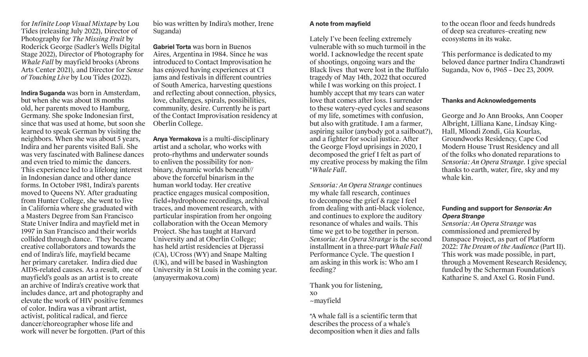for *Infinite Loop Visual Mixtape* by Lou Tides (releasing July 2022), Director of Photography for *The Missing Fruit* by Roderick George (Sadler's Wells Digital Stage 2022), Director of Photography for *Whale Fall* by mayfield brooks (Abrons Arts Center 2021), and Director for *Sense of Touching Live* by Lou Tides (2022).

**Indira Suganda** was born in Amsterdam, but when she was about 18 months old, her parents moved to Hamburg, Germany. She spoke Indonesian first, since that was used at home, but soon she learned to speak German by visiting the neighbors. When she was about 5 years, Indira and her parents visited Bali. She was very fascinated with Balinese dances and even tried to mimic the dancers. This experience led to a lifelong interest in Indonesian dance and other dance forms. In October 1981, Indira's parents moved to Queens NY. After graduating from Hunter College, she went to live in California where she graduated with a Masters Degree from San Francisco State Univer Indira and mayfield met in 1997 in San Francisco and their worlds collided through dance. They became creative collaborators and towards the end of Indira's life, mayfield became her primary caretaker. Indira died due AIDS-related causes. As a result, one of mayfield's goals as an artist is to create an archive of Indira's creative work that includes dance, art and photography and elevate the work of HIV positive femmes of color. Indira was a vibrant artist, activist, political radical, and fierce dancer/choreographer whose life and work will never be forgotten. (Part of this

bio was written by Indira's mother, Irene Suganda)

**Gabriel Torta** was born in Buenos Aires, Argentina in 1984. Since he was introduced to Contact Improvisation he has enjoyed having experiences at CI jams and festivals in different countries of South America, harvesting questions and reflecting about connection, physics, love, challenges, spirals, possibilities, community, desire. Currently he is part of the Contact Improvisation residency at Oberlin College.

**Anya Yermakova** is a multi-disciplinary artist and a scholar, who works with proto-rhythms and underwater sounds to enliven the possibility for nonbinary, dynamic worlds beneath// above the forceful binarism in the human world today. Her creative practice engages musical composition, field+hydrophone recordings, archival traces, and movement research, with particular inspiration from her ongoing collaboration with the Ocean Memory Project. She has taught at Harvard University and at Oberlin College; has held artist residencies at Djerassi (CA), UCross (WY) and Snape Malting (UK), and will be based in Washington University in St Louis in the coming year. (anyayermakova.com)

## **A note from mayfield**

Lately I've been feeling extremely vulnerable with so much turmoil in the world. I acknowledge the recent spate of shootings, ongoing wars and the Black lives that were lost in the Buffalo tragedy of May 14th, 2022 that occured while I was working on this project. I humbly accept that my tears can water love that comes after loss. I surrender to these watery-eyed cycles and seasons of my life, sometimes with confusion, but also with gratitude. I am a farmer, aspiring sailor (anybody got a sailboat?), and a fighter for social justice. After the George Floyd uprisings in 2020, I decomposed the grief I felt as part of my creative process by making the film \**Whale Fall*.

*Sensoria: An Opera Strange* continues my whale fall research, continues to decompose the grief & rage I feel from dealing with anti-black violence, and continues to explore the auditory resonance of whales and wails. This time we get to be together in person. *Sensoria: An Opera Strange* is the second installment in a three-part *Whale Fall*  Performance Cycle. The question I am asking in this work is: Who am I feeding?

Thank you for listening, xo ~mayfield

\*A whale fall is a scientific term that describes the process of a whale's decomposition when it dies and falls

to the ocean floor and feeds hundreds of deep sea creatures–creating new ecosystems in its wake.

This performance is dedicated to my beloved dance partner Indira Chandrawti Suganda, Nov 6, 1965 – Dec 23, 2009.

### **Thanks and Acknowledgements**

George and Jo Ann Brooks, Ann Cooper Albright, Lilliana Kane, Lindsay King-Hall, Mlondi Zondi, Gia Kourlas, Groundworks Residency, Cape Cod Modern House Trust Residency and all of the folks who donated reparations to *Sensoria: An Opera Strange.* I give special thanks to earth, water, fire, sky and my whale kin.

# **Funding and support for Sensoria: An Opera Strange**

*Sensoria: An Opera Strange* was commissioned and premiered by Danspace Project, as part of Platform 2022: *The Dream of the Audience* (Part II). This work was made possible, in part, through a Movement Research Residency, funded by the Scherman Foundation's Katharine S. and Axel G. Rosin Fund.